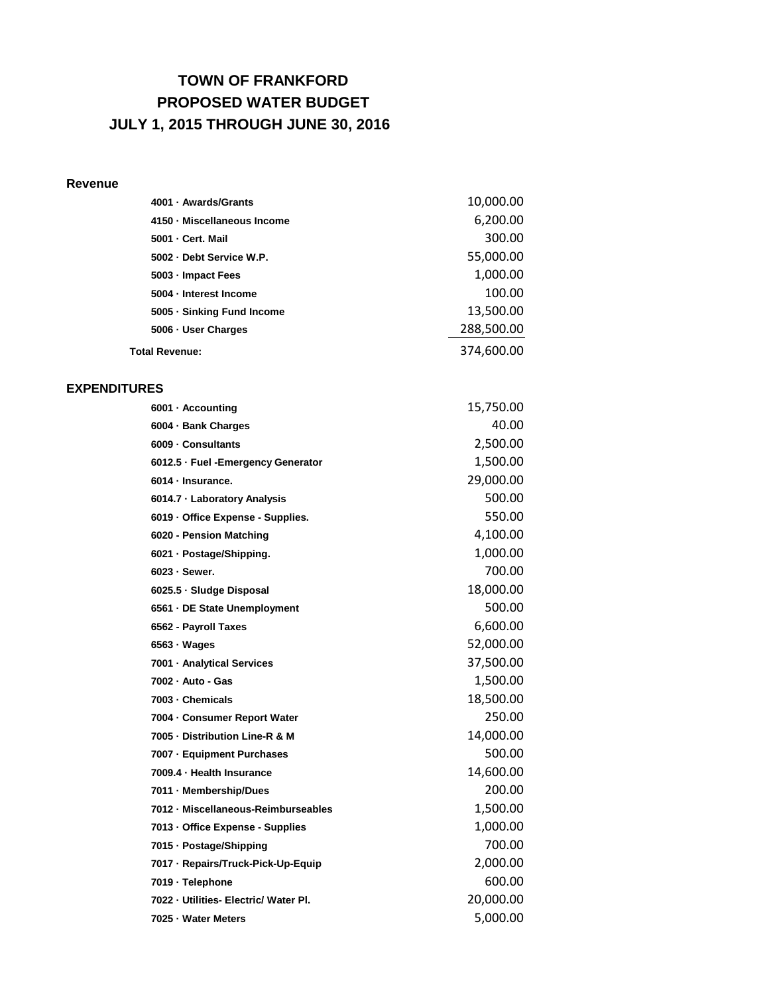## **TOWN OF FRANKFORD PROPOSED WATER BUDGET JULY 1, 2015 THROUGH JUNE 30, 2016**

## **Revenue**

| 4001 - Awards/Grants        | 10,000.00  |
|-----------------------------|------------|
| 4150 · Miscellaneous Income | 6,200.00   |
| 5001 - Cert. Mail           | 300.00     |
| 5002 Debt Service W.P.      | 55,000.00  |
| 5003 - Impact Fees          | 1,000.00   |
| 5004 - Interest Income      | 100.00     |
| 5005 - Sinking Fund Income  | 13,500.00  |
| 5006 - User Charges         | 288,500.00 |
| <b>Total Revenue:</b>       | 374,600.00 |

## **EXPENDITURES**

| 6001 · Accounting                     | 15,750.00 |
|---------------------------------------|-----------|
| 6004 · Bank Charges                   | 40.00     |
| 6009 - Consultants                    | 2,500.00  |
| 6012.5 · Fuel - Emergency Generator   | 1,500.00  |
| 6014 · Insurance.                     | 29,000.00 |
| 6014.7 - Laboratory Analysis          | 500.00    |
| 6019 - Office Expense - Supplies.     | 550.00    |
| 6020 - Pension Matching               | 4,100.00  |
| 6021 · Postage/Shipping.              | 1,000.00  |
| 6023 - Sewer.                         | 700.00    |
| 6025.5 · Sludge Disposal              | 18,000.00 |
| 6561 - DE State Unemployment          | 500.00    |
| 6562 - Payroll Taxes                  | 6,600.00  |
| $6563 \cdot Wages$                    | 52,000.00 |
| 7001 · Analytical Services            | 37,500.00 |
| 7002 - Auto - Gas                     | 1,500.00  |
| 7003 - Chemicals                      | 18,500.00 |
| 7004 - Consumer Report Water          | 250.00    |
| 7005 - Distribution Line-R & M        | 14,000.00 |
| 7007 - Equipment Purchases            | 500.00    |
| 7009.4 · Health Insurance             | 14,600.00 |
| 7011 - Membership/Dues                | 200.00    |
| 7012 · Miscellaneous-Reimburseables   | 1,500.00  |
| 7013 - Office Expense - Supplies      | 1,000.00  |
| 7015 - Postage/Shipping               | 700.00    |
| 7017 - Repairs/Truck-Pick-Up-Equip    | 2,000.00  |
| 7019 - Telephone                      | 600.00    |
| 7022 - Utilities- Electric/ Water Pl. | 20,000.00 |
| 7025 - Water Meters                   | 5,000.00  |